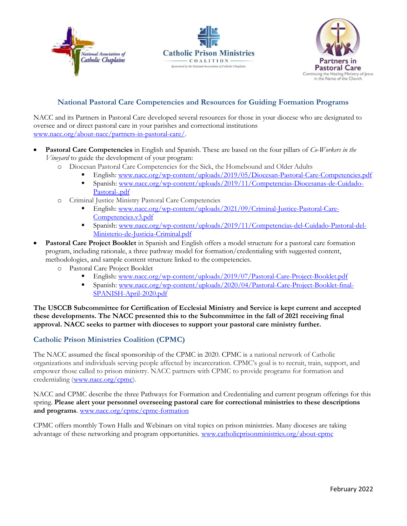





## National Pastoral Care Competencies and Resources for Guiding Formation Programs

NACC and its Partners in Pastoral Care developed several resources for those in your diocese who are designated to oversee and or direct pastoral care in your parishes and correctional institutions www.nacc.org/about-nacc/partners-in-pastoral-care/.

- Pastoral Care Competencies in English and Spanish. These are based on the four pillars of Co-Workers in the Vineyard to guide the development of your program:
	- o Diocesan Pastoral Care Competencies for the Sick, the Homebound and Older Adults
		- English: www.nacc.org/wp-content/uploads/2019/05/Diocesan-Pastoral-Care-Competencies.pdf
		- Spanish: www.nacc.org/wp-content/uploads/2019/11/Competencias-Diocesanas-de-Cuidado-Pastoral-.pdf
	- o Criminal Justice Ministry Pastoral Care Competencies
		- English: www.nacc.org/wp-content/uploads/2021/09/Criminal-Justice-Pastoral-Care-Competencies.v3.pdf
		- Spanish: www.nacc.org/wp-content/uploads/2019/11/Competencias-del-Cuidado-Pastoral-del-Ministerio-de-Justicia-Criminal.pdf
- Pastoral Care Project Booklet in Spanish and English offers a model structure for a pastoral care formation program, including rationale, a three pathway model for formation/credentialing with suggested content, methodologies, and sample content structure linked to the competencies.
	- o Pastoral Care Project Booklet
		- English: www.nacc.org/wp-content/uploads/2019/07/Pastoral-Care-Project-Booklet.pdf
		- Spanish: www.nacc.org/wp-content/uploads/2020/04/Pastoral-Care-Project-Booklet-final-SPANISH-April-2020.pdf

The USCCB Subcommittee for Certification of Ecclesial Ministry and Service is kept current and accepted these developments. The NACC presented this to the Subcommittee in the fall of 2021 receiving final approval. NACC seeks to partner with dioceses to support your pastoral care ministry further.

## Catholic Prison Ministries Coalition (CPMC)

The NACC assumed the fiscal sponsorship of the CPMC in 2020. CPMC is a national network of Catholic organizations and individuals serving people affected by incarceration. CPMC's goal is to recruit, train, support, and empower those called to prison ministry. NACC partners with CPMC to provide programs for formation and credentialing (www.nacc.org/cpmc).

NACC and CPMC describe the three Pathways for Formation and Credentialing and current program offerings for this spring. Please alert your personnel overseeing pastoral care for correctional ministries to these descriptions and programs. www.nacc.org/cpmc/cpmc-formation

CPMC offers monthly Town Halls and Webinars on vital topics on prison ministries. Many dioceses are taking advantage of these networking and program opportunities. www.catholicprisonministries.org/about-cpmc